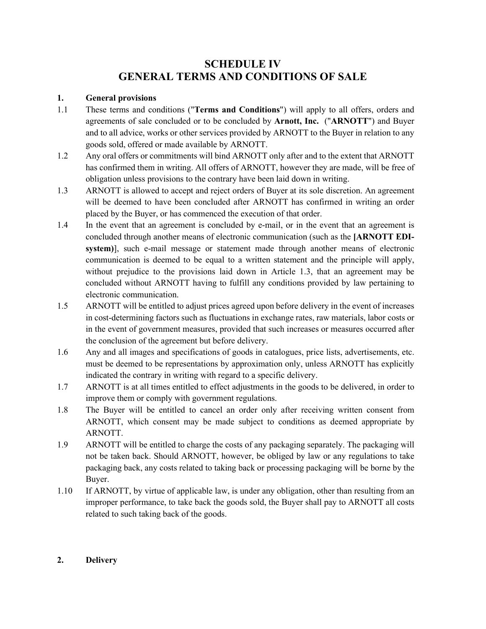# **SCHEDULE IV GENERAL TERMS AND CONDITIONS OF SALE**

### **1. General provisions**

- 1.1 These terms and conditions ("**Terms and Conditions**") will apply to all offers, orders and agreements of sale concluded or to be concluded by **Arnott, Inc.** ("**ARNOTT**") and Buyer and to all advice, works or other services provided by ARNOTT to the Buyer in relation to any goods sold, offered or made available by ARNOTT.
- 1.2 Any oral offers or commitments will bind ARNOTT only after and to the extent that ARNOTT has confirmed them in writing. All offers of ARNOTT, however they are made, will be free of obligation unless provisions to the contrary have been laid down in writing.
- 1.3 ARNOTT is allowed to accept and reject orders of Buyer at its sole discretion. An agreement will be deemed to have been concluded after ARNOTT has confirmed in writing an order placed by the Buyer, or has commenced the execution of that order.
- 1.4 In the event that an agreement is concluded by e-mail, or in the event that an agreement is concluded through another means of electronic communication (such as the **[ARNOTT EDIsystem)**], such e-mail message or statement made through another means of electronic communication is deemed to be equal to a written statement and the principle will apply, without prejudice to the provisions laid down in Article 1.3, that an agreement may be concluded without ARNOTT having to fulfill any conditions provided by law pertaining to electronic communication.
- 1.5 ARNOTT will be entitled to adjust prices agreed upon before delivery in the event of increases in cost-determining factors such as fluctuations in exchange rates, raw materials, labor costs or in the event of government measures, provided that such increases or measures occurred after the conclusion of the agreement but before delivery.
- 1.6 Any and all images and specifications of goods in catalogues, price lists, advertisements, etc. must be deemed to be representations by approximation only, unless ARNOTT has explicitly indicated the contrary in writing with regard to a specific delivery.
- 1.7 ARNOTT is at all times entitled to effect adjustments in the goods to be delivered, in order to improve them or comply with government regulations.
- 1.8 The Buyer will be entitled to cancel an order only after receiving written consent from ARNOTT, which consent may be made subject to conditions as deemed appropriate by ARNOTT.
- 1.9 ARNOTT will be entitled to charge the costs of any packaging separately. The packaging will not be taken back. Should ARNOTT, however, be obliged by law or any regulations to take packaging back, any costs related to taking back or processing packaging will be borne by the Buyer.
- 1.10 If ARNOTT, by virtue of applicable law, is under any obligation, other than resulting from an improper performance, to take back the goods sold, the Buyer shall pay to ARNOTT all costs related to such taking back of the goods.

### **2. Delivery**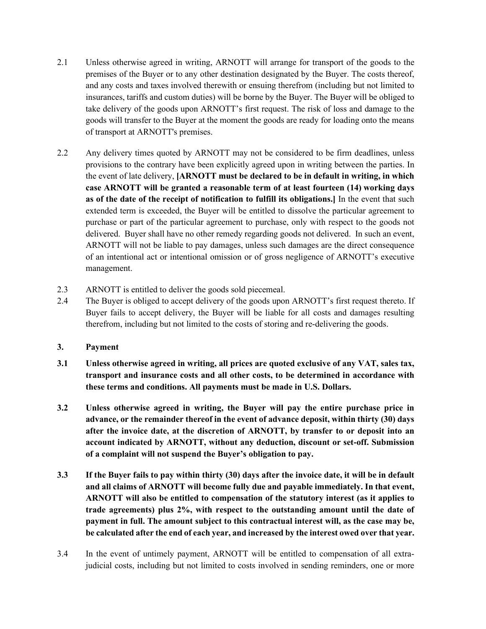- 2.1 Unless otherwise agreed in writing, ARNOTT will arrange for transport of the goods to the premises of the Buyer or to any other destination designated by the Buyer. The costs thereof, and any costs and taxes involved therewith or ensuing therefrom (including but not limited to insurances, tariffs and custom duties) will be borne by the Buyer. The Buyer will be obliged to take delivery of the goods upon ARNOTT's first request. The risk of loss and damage to the goods will transfer to the Buyer at the moment the goods are ready for loading onto the means of transport at ARNOTT's premises.
- 2.2 Any delivery times quoted by ARNOTT may not be considered to be firm deadlines, unless provisions to the contrary have been explicitly agreed upon in writing between the parties. In the event of late delivery, **[ARNOTT must be declared to be in default in writing, in which case ARNOTT will be granted a reasonable term of at least fourteen (14) working days as of the date of the receipt of notification to fulfill its obligations.]** In the event that such extended term is exceeded, the Buyer will be entitled to dissolve the particular agreement to purchase or part of the particular agreement to purchase, only with respect to the goods not delivered. Buyer shall have no other remedy regarding goods not delivered. In such an event, ARNOTT will not be liable to pay damages, unless such damages are the direct consequence of an intentional act or intentional omission or of gross negligence of ARNOTT's executive management.
- 2.3 ARNOTT is entitled to deliver the goods sold piecemeal.
- 2.4 The Buyer is obliged to accept delivery of the goods upon ARNOTT's first request thereto. If Buyer fails to accept delivery, the Buyer will be liable for all costs and damages resulting therefrom, including but not limited to the costs of storing and re-delivering the goods.
- **3. Payment**
- **3.1 Unless otherwise agreed in writing, all prices are quoted exclusive of any VAT, sales tax, transport and insurance costs and all other costs, to be determined in accordance with these terms and conditions. All payments must be made in U.S. Dollars.**
- **3.2 Unless otherwise agreed in writing, the Buyer will pay the entire purchase price in advance, or the remainder thereof in the event of advance deposit, within thirty (30) days after the invoice date, at the discretion of ARNOTT, by transfer to or deposit into an account indicated by ARNOTT, without any deduction, discount or set-off. Submission of a complaint will not suspend the Buyer's obligation to pay.**
- **3.3 If the Buyer fails to pay within thirty (30) days after the invoice date, it will be in default and all claims of ARNOTT will become fully due and payable immediately. In that event, ARNOTT will also be entitled to compensation of the statutory interest (as it applies to trade agreements) plus 2%, with respect to the outstanding amount until the date of payment in full. The amount subject to this contractual interest will, as the case may be, be calculated after the end of each year, and increased by the interest owed over that year.**
- 3.4 In the event of untimely payment, ARNOTT will be entitled to compensation of all extrajudicial costs, including but not limited to costs involved in sending reminders, one or more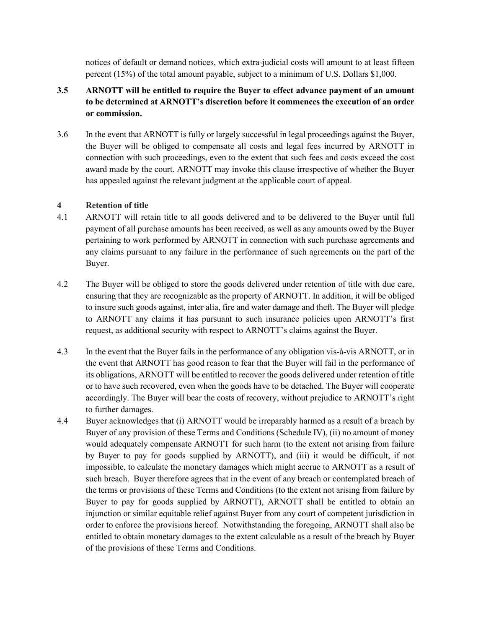notices of default or demand notices, which extra-judicial costs will amount to at least fifteen percent (15%) of the total amount payable, subject to a minimum of U.S. Dollars \$1,000.

- **3.5 ARNOTT will be entitled to require the Buyer to effect advance payment of an amount to be determined at ARNOTT's discretion before it commences the execution of an order or commission.**
- 3.6 In the event that ARNOTT is fully or largely successful in legal proceedings against the Buyer, the Buyer will be obliged to compensate all costs and legal fees incurred by ARNOTT in connection with such proceedings, even to the extent that such fees and costs exceed the cost award made by the court. ARNOTT may invoke this clause irrespective of whether the Buyer has appealed against the relevant judgment at the applicable court of appeal.

# **4 Retention of title**

- 4.1 ARNOTT will retain title to all goods delivered and to be delivered to the Buyer until full payment of all purchase amounts has been received, as well as any amounts owed by the Buyer pertaining to work performed by ARNOTT in connection with such purchase agreements and any claims pursuant to any failure in the performance of such agreements on the part of the Buyer.
- 4.2 The Buyer will be obliged to store the goods delivered under retention of title with due care, ensuring that they are recognizable as the property of ARNOTT. In addition, it will be obliged to insure such goods against, inter alia, fire and water damage and theft. The Buyer will pledge to ARNOTT any claims it has pursuant to such insurance policies upon ARNOTT's first request, as additional security with respect to ARNOTT's claims against the Buyer.
- 4.3 In the event that the Buyer fails in the performance of any obligation vis-à-vis ARNOTT, or in the event that ARNOTT has good reason to fear that the Buyer will fail in the performance of its obligations, ARNOTT will be entitled to recover the goods delivered under retention of title or to have such recovered, even when the goods have to be detached. The Buyer will cooperate accordingly. The Buyer will bear the costs of recovery, without prejudice to ARNOTT's right to further damages.
- 4.4 Buyer acknowledges that (i) ARNOTT would be irreparably harmed as a result of a breach by Buyer of any provision of these Terms and Conditions (Schedule IV), (ii) no amount of money would adequately compensate ARNOTT for such harm (to the extent not arising from failure by Buyer to pay for goods supplied by ARNOTT), and (iii) it would be difficult, if not impossible, to calculate the monetary damages which might accrue to ARNOTT as a result of such breach. Buyer therefore agrees that in the event of any breach or contemplated breach of the terms or provisions of these Terms and Conditions (to the extent not arising from failure by Buyer to pay for goods supplied by ARNOTT), ARNOTT shall be entitled to obtain an injunction or similar equitable relief against Buyer from any court of competent jurisdiction in order to enforce the provisions hereof. Notwithstanding the foregoing, ARNOTT shall also be entitled to obtain monetary damages to the extent calculable as a result of the breach by Buyer of the provisions of these Terms and Conditions.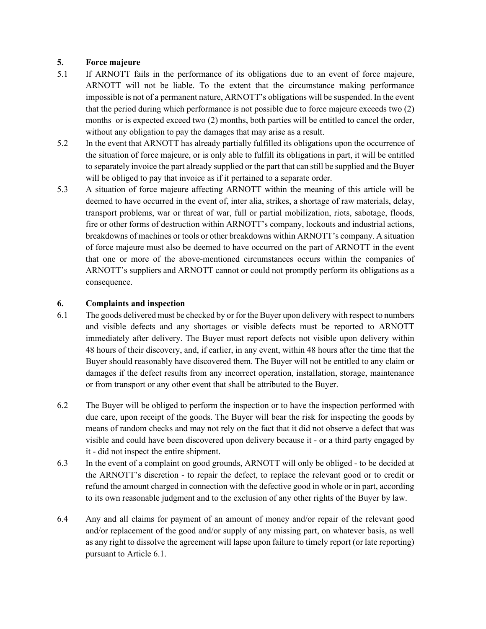# **5. Force majeure**

- 5.1 If ARNOTT fails in the performance of its obligations due to an event of force majeure, ARNOTT will not be liable. To the extent that the circumstance making performance impossible is not of a permanent nature, ARNOTT's obligations will be suspended. In the event that the period during which performance is not possible due to force majeure exceeds two (2) months or is expected exceed two (2) months, both parties will be entitled to cancel the order, without any obligation to pay the damages that may arise as a result.
- 5.2 In the event that ARNOTT has already partially fulfilled its obligations upon the occurrence of the situation of force majeure, or is only able to fulfill its obligations in part, it will be entitled to separately invoice the part already supplied or the part that can still be supplied and the Buyer will be obliged to pay that invoice as if it pertained to a separate order.
- 5.3 A situation of force majeure affecting ARNOTT within the meaning of this article will be deemed to have occurred in the event of, inter alia, strikes, a shortage of raw materials, delay, transport problems, war or threat of war, full or partial mobilization, riots, sabotage, floods, fire or other forms of destruction within ARNOTT's company, lockouts and industrial actions, breakdowns of machines or tools or other breakdowns within ARNOTT's company. A situation of force majeure must also be deemed to have occurred on the part of ARNOTT in the event that one or more of the above-mentioned circumstances occurs within the companies of ARNOTT's suppliers and ARNOTT cannot or could not promptly perform its obligations as a consequence.

# **6. Complaints and inspection**

- 6.1 The goods delivered must be checked by or for the Buyer upon delivery with respect to numbers and visible defects and any shortages or visible defects must be reported to ARNOTT immediately after delivery. The Buyer must report defects not visible upon delivery within 48 hours of their discovery, and, if earlier, in any event, within 48 hours after the time that the Buyer should reasonably have discovered them. The Buyer will not be entitled to any claim or damages if the defect results from any incorrect operation, installation, storage, maintenance or from transport or any other event that shall be attributed to the Buyer.
- 6.2 The Buyer will be obliged to perform the inspection or to have the inspection performed with due care, upon receipt of the goods. The Buyer will bear the risk for inspecting the goods by means of random checks and may not rely on the fact that it did not observe a defect that was visible and could have been discovered upon delivery because it - or a third party engaged by it - did not inspect the entire shipment.
- 6.3 In the event of a complaint on good grounds, ARNOTT will only be obliged to be decided at the ARNOTT's discretion - to repair the defect, to replace the relevant good or to credit or refund the amount charged in connection with the defective good in whole or in part, according to its own reasonable judgment and to the exclusion of any other rights of the Buyer by law.
- 6.4 Any and all claims for payment of an amount of money and/or repair of the relevant good and/or replacement of the good and/or supply of any missing part, on whatever basis, as well as any right to dissolve the agreement will lapse upon failure to timely report (or late reporting) pursuant to Article 6.1.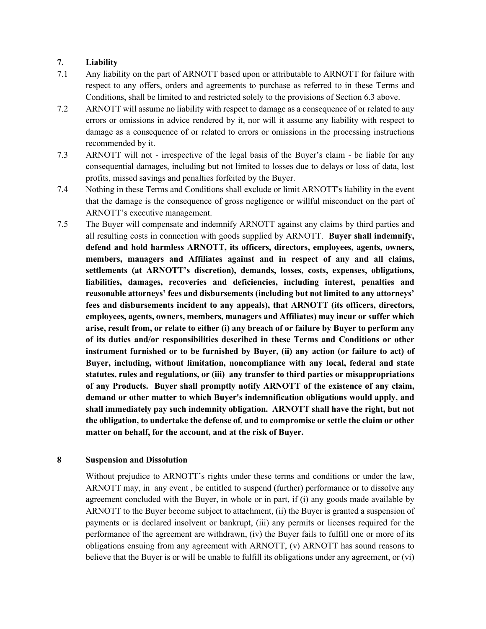# **7. Liability**

- 7.1 Any liability on the part of ARNOTT based upon or attributable to ARNOTT for failure with respect to any offers, orders and agreements to purchase as referred to in these Terms and Conditions, shall be limited to and restricted solely to the provisions of Section 6.3 above.
- 7.2 ARNOTT will assume no liability with respect to damage as a consequence of or related to any errors or omissions in advice rendered by it, nor will it assume any liability with respect to damage as a consequence of or related to errors or omissions in the processing instructions recommended by it.
- 7.3 ARNOTT will not irrespective of the legal basis of the Buyer's claim be liable for any consequential damages, including but not limited to losses due to delays or loss of data, lost profits, missed savings and penalties forfeited by the Buyer.
- 7.4 Nothing in these Terms and Conditions shall exclude or limit ARNOTT's liability in the event that the damage is the consequence of gross negligence or willful misconduct on the part of ARNOTT's executive management.
- 7.5 The Buyer will compensate and indemnify ARNOTT against any claims by third parties and all resulting costs in connection with goods supplied by ARNOTT. **Buyer shall indemnify, defend and hold harmless ARNOTT, its officers, directors, employees, agents, owners, members, managers and Affiliates against and in respect of any and all claims, settlements (at ARNOTT's discretion), demands, losses, costs, expenses, obligations, liabilities, damages, recoveries and deficiencies, including interest, penalties and reasonable attorneys' fees and disbursements (including but not limited to any attorneys' fees and disbursements incident to any appeals), that ARNOTT (its officers, directors, employees, agents, owners, members, managers and Affiliates) may incur or suffer which arise, result from, or relate to either (i) any breach of or failure by Buyer to perform any of its duties and/or responsibilities described in these Terms and Conditions or other instrument furnished or to be furnished by Buyer, (ii) any action (or failure to act) of Buyer, including, without limitation, noncompliance with any local, federal and state statutes, rules and regulations, or (iii) any transfer to third parties or misappropriations of any Products. Buyer shall promptly notify ARNOTT of the existence of any claim, demand or other matter to which Buyer's indemnification obligations would apply, and shall immediately pay such indemnity obligation. ARNOTT shall have the right, but not the obligation, to undertake the defense of, and to compromise or settle the claim or other matter on behalf, for the account, and at the risk of Buyer.**

### **8 Suspension and Dissolution**

Without prejudice to ARNOTT's rights under these terms and conditions or under the law, ARNOTT may, in any event , be entitled to suspend (further) performance or to dissolve any agreement concluded with the Buyer, in whole or in part, if (i) any goods made available by ARNOTT to the Buyer become subject to attachment, (ii) the Buyer is granted a suspension of payments or is declared insolvent or bankrupt, (iii) any permits or licenses required for the performance of the agreement are withdrawn, (iv) the Buyer fails to fulfill one or more of its obligations ensuing from any agreement with ARNOTT, (v) ARNOTT has sound reasons to believe that the Buyer is or will be unable to fulfill its obligations under any agreement, or (vi)